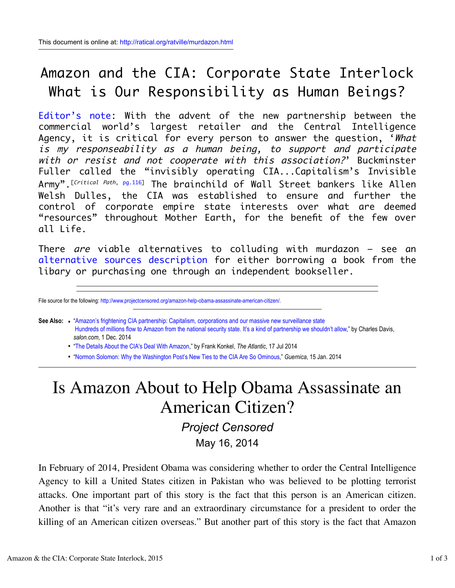## Amazon and the CIA: Corporate State Interlock What is Our Responsibility as Human Beings?

Editor's note: With the advent of the new partnership between the commercial world's largest retailer and the Central Intelligence Agency, it is critical for every person to answer the question, 'What is my responseability as <sup>a</sup> human being, to support and participate with or resist and not cooperate with this association?' Buckminster Fuller called the "invisibly operating CIA...Capitalism's Invisible Army". [Critical Path, pg.116] The brainchild of Wall Street bankers like Allen Welsh Dulles, the CIA was established to ensure and further the control of corporate empire state interests over what are deemed "resources" throughout Mother Earth, for the benefit of the few over all Life.

There are viable alternatives to colluding with murdazon – see an alternative sources description for either borrowing a book from the libary or purchasing one through an independent bookseller.

File source for the following: http://www.projectcensored.org/amazon-help-obama-assassinate-american-citizen/.

**See Also:** • "Amazon's frightening CIA partnership: Capitalism, corporations and our massive new surveillance state Hundreds of millions flow to Amazon from the national security state. It's a kind of partnership we shouldn't allow," by Charles Davis, *salon.com*, 1 Dec. 2014

• "The Details About the CIA's Deal With Amazon," by Frank Konkel, *The Atlantic*, 17 Jul 2014

• "Normon Solomon: Why the Washington Post's New Ties to the CIA Are So Ominous," *Guernica*, 15 Jan. 2014

## Is Amazon About to Help Obama Assassinate an American Citizen?

*Project Censored* May 16, 2014

In February of 2014, President Obama was considering whether to order the Central Intelligence Agency to kill a United States citizen in Pakistan who was believed to be plotting terrorist attacks. One important part of this story is the fact that this person is an American citizen. Another is that "it's very rare and an extraordinary circumstance for a president to order the killing of an American citizen overseas." But another part of this story is the fact that Amazon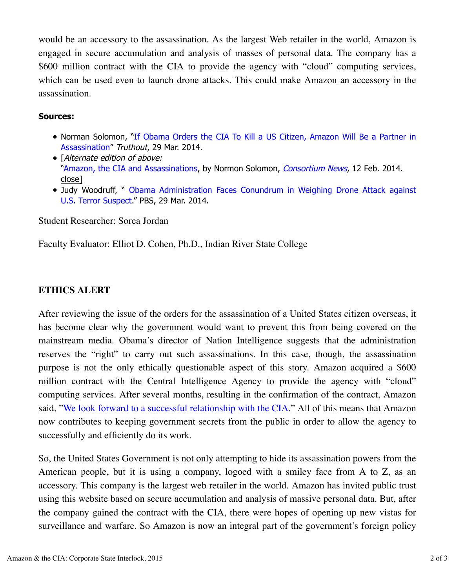would be an accessory to the assassination. As the largest Web retailer in the world, Amazon is engaged in secure accumulation and analysis of masses of personal data. The company has a \$600 million contract with the CIA to provide the agency with "cloud" computing services, which can be used even to launch drone attacks. This could make Amazon an accessory in the assassination.

## **Sources:**

- Norman Solomon, "If Obama Orders the CIA To Kill a US Citizen, Amazon Will Be a Partner in Assassination" Truthout, 29 Mar. 2014.
- [Alternate edition of above: "Amazon, the CIA and Assassinations, by Normon Solomon, Consortium News, 12 Feb. 2014. close]
- Judy Woodruff, " Obama Administration Faces Conundrum in Weighing Drone Attack against U.S. Terror Suspect." PBS, 29 Mar. 2014.

Student Researcher: Sorca Jordan

Faculty Evaluator: Elliot D. Cohen, Ph.D., Indian River State College

## **ETHICS ALERT**

After reviewing the issue of the orders for the assassination of a United States citizen overseas, it has become clear why the government would want to prevent this from being covered on the mainstream media. Obama's director of Nation Intelligence suggests that the administration reserves the "right" to carry out such assassinations. In this case, though, the assassination purpose is not the only ethically questionable aspect of this story. Amazon acquired a \$600 million contract with the Central Intelligence Agency to provide the agency with "cloud" computing services. After several months, resulting in the confirmation of the contract, Amazon said, "We look forward to a successful relationship with the CIA." All of this means that Amazon now contributes to keeping government secrets from the public in order to allow the agency to successfully and efficiently do its work.

So, the United States Government is not only attempting to hide its assassination powers from the American people, but it is using a company, logoed with a smiley face from A to Z, as an accessory. This company is the largest web retailer in the world. Amazon has invited public trust using this website based on secure accumulation and analysis of massive personal data. But, after the company gained the contract with the CIA, there were hopes of opening up new vistas for surveillance and warfare. So Amazon is now an integral part of the government's foreign policy